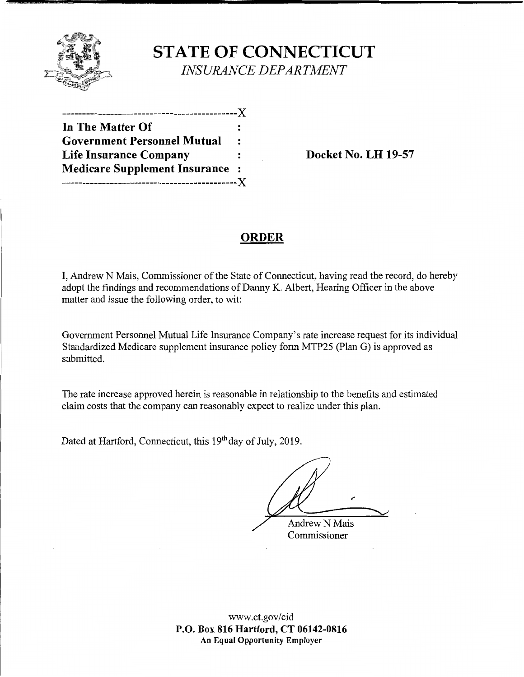

**STATE OF CONNECTICUT**  *INSURANCE DEPARTMENT* 

| .--------------X                     |                      |
|--------------------------------------|----------------------|
| In The Matter Of                     |                      |
| <b>Government Personnel Mutual</b>   | $\ddot{\phantom{a}}$ |
| <b>Life Insurance Company</b>        | :                    |
| <b>Medicare Supplement Insurance</b> | $\blacksquare$       |
|                                      |                      |

**Docket No. LH 19-57** 

# **ORDER**

I, Andrew N Mais, Commissioner of the State of Connecticut, having read the record, do hereby adopt the findings and recommendations of Danny K. Albert, Hearing Officer in the above matter and issue the following order, to wit:

Government Personnel Mutual Life Insurance Company's rate increase request for its individual Standardized Medicare supplement insurance policy form MTP25 (Plan G) is approved as submitted.

The rate increase approved herein is reasonable in relationship to the benefits and estimated claim costs that the company can reasonably expect to realize under this plan.

Dated at Hartford, Connecticut, this 19<sup>th</sup> day of July, 2019.

**Andrew N Mais** 

Commissioner

www.ct.gov/cid **P.O. Box 816 Hartford, CT 06142-0816 An Equal Opportunity Employer**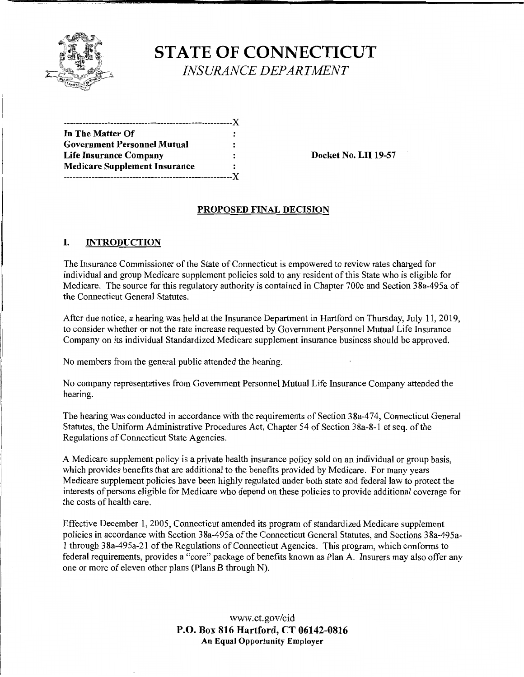

**STATE OF CONNECTICUT**  *INSURANCE DEPARTMENT* 

| -------------------------------      |                |
|--------------------------------------|----------------|
| In The Matter Of                     |                |
| <b>Government Personnel Mutual</b>   |                |
| Life Insurance Company               | $\ddot{\cdot}$ |
| <b>Medicare Supplement Insurance</b> |                |
| --------------------------           | -Y             |

**Docket No. LH 19-57** 

## **PROPOSED FINAL DECISION**

## I. **INTRODUCTION**

The Insurance Commissioner of the State of Connecticut is empowered to review rates charged for individual and group Medicare supplement policies sold to any resident of this State who is eligible for Medicare. The source for this regulatory authority is contained in Chapter 700c and Section 38a-495a of the Connecticut General Statutes.

After due notice, a hearing was held at the Insurance Department in Hartford on Thursday, July 11, 2019, to consider whether or not the rate increase requested by Government Personnel Mutual Life Insurance Company on its individual Standardized Medicare supplement insurance business should be approved.

No members from the general public attended the hearing.

No company representatives from Government Personnel Mutual Life Insurance Company attended the hearing.

The hearing was conducted in accordance with the requirements of Section 38a-474, Connecticut General Statutes, the Uniform Administrative Procedures Act, Chapter 54 of Section 3 8a-8-1 et seq. of the Regulations of Connecticut State Agencies.

A Medicare supplement policy is a private health insurance policy sold on an individual or group basis, which provides benefits that are additional to the benefits provided by Medicare. For many years Medicare supplement policies have been highly regulated under both state and federal law to protect the interests of persons eligible for Medicare who depend on these policies to provide additional coverage for the costs of health care.

Effective December 1, 2005, Connecticut amended its program of standardized Medicare supplement policies in accordance with Section 38a-495a of the Connecticut General Statutes, and Sections 38a-495a-1 through 38a-495a-21 of the Regulations of Connecticut Agencies. This program, which conforms to federal requirements, provides a "core" package of benefits known as Plan A. Insurers may also offer any one or more of eleven other plans (Plans B through N).

> www.ct.gov/cid **P.O. Box 816 Hartford, CT 06142-0816 An Equal Opportunity Employer**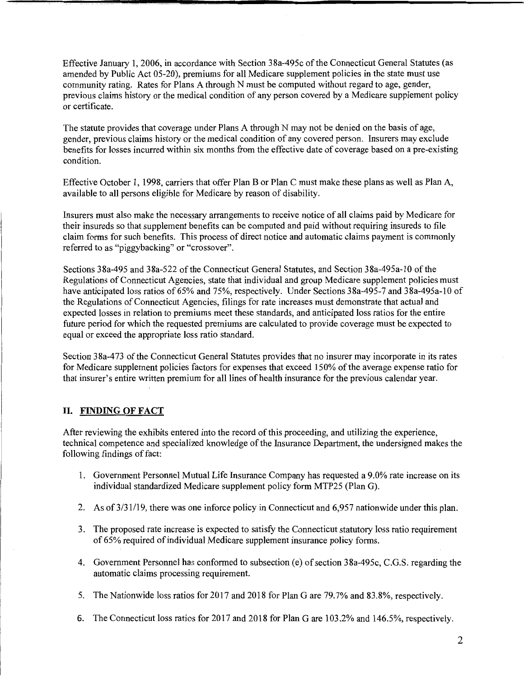Effective January 1, 2006, in accordance with Section 38a-495c of the Connecticut General Statutes (as amended by Public Act 05-20), premiums for all Medicare supplement policies in the state must use community rating. Rates for Plans A through N must be computed without regard to age, gender, previous claims history or the medical condition of any person covered by a Medicare supplement policy or certificate.

The statute provides that coverage under Plans A through N may not be denied on the basis of age, gender, previous claims history or the medical condition of any covered person. Insurers may exclude benefits for losses incurred within six months from the effective date of coverage based on a pre-existing condition.

Effective October 1, 1998, carriers that offer Plan B or Plan C must make these plans as well as Plan A, available to all persons eligible for Medicare by reason of disability.

Insurers must also make the necessary arrangements to receive notice of all claims paid by Medicare for their insureds so that supplement benefits can be computed and paid without requiring insureds to file claim forms for such benefits. This process of direct notice and automatic claims payment is commonly referred to as "piggybacking" or "crossover".

Sections 38a-495 and 38a-522 of the Connecticut General Statutes, and Section 38a-495a-10 of the Regulations of Connecticut Agencies, state that individual and group Medicare supplement policies must have anticipated loss ratios of 65% and 75%, respectively. Under Sections 38a-495-7 and 38a-495a-10 of the Regulations of Connecticut Agencies, filings for rate increases must demonstrate that actual and expected losses in relation to premiums meet these standards, and anticipated loss ratios for the entire future period for which the requested premiums are calculated to provide coverage must be expected to equal or exceed the appropriate loss ratio standard.

Section 38a-473 of the Connecticut General Statutes provides that no insurer may incorporate in its rates for Medicare supplement policies factors for expenses that exceed 150% of the average expense ratio for that insurer's entire written premium for all lines of health insurance for the previous calendar year.

## **II. FINDING OF FACT**

After reviewing the exhibits entered into the record of this proceeding, and utilizing the experience, technical competence and specialized knowledge of the Insurance Department, the undersigned makes the following findings of fact:

- 1. Government Personnel Mutual Life Insurance Company has requested a 9.0% rate increase on its individual standardized Medicare supplement policy form MTP25 (Plan G).
- 2. As of 3/31/19, there was one inforce policy in Connecticut and 6,957 nationwide under this plan.
- 3. The proposed rate increase is expected to satisfy the Connecticut statutory loss ratio requirement of 65% required of individual Medicare supplement insurance policy forms.
- 4. Government Personnel has conformed to subsection (e) of section 38a-495c, C.G.S. regarding the automatic claims processing requirement.
- 5. The Nationwide loss ratios for 2017 and 2018 for Plan Gare 79.7% and 83.8%, respectively.
- 6. The Connecticut loss ratios for 2017 and 2018 for Plan Gare 103.2% and 146.5%, respectively.